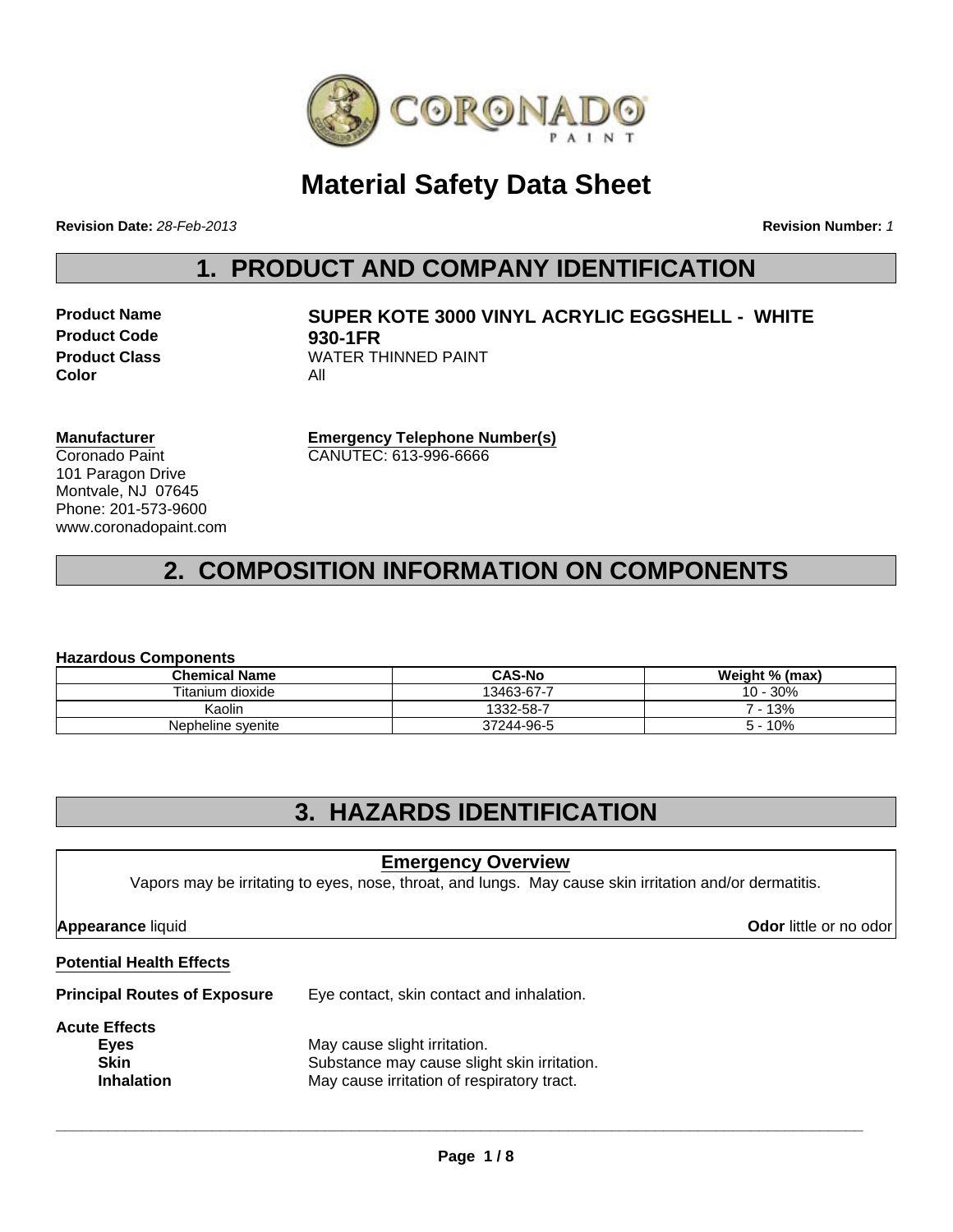

## **Material Safety Data Sheet**

**Revision Date:** *28-Feb-2013*

**Revision Number:** *1*

## **1. PRODUCT AND COMPANY IDENTIFICATION**

**Product Code 930-1FR Color** All

# **Product Name SUPER KOTE 3000 VINYL ACRYLIC EGGSHELL - WHITE Product Class** WATER THINNED PAINT

**Manufacturer** Coronado Paint 101 Paragon Drive Montvale, NJ 07645 Phone: 201-573-9600 www.coronadopaint.com **Emergency Telephone Number(s)** CANUTEC: 613-996-6666

## **2. COMPOSITION INFORMATION ON COMPONENTS**

#### **Hazardous Components**

| <b>Chemical Name</b> | <b>CAS-No</b> | Weight % (max) |  |  |
|----------------------|---------------|----------------|--|--|
| Titanium dioxide     | 13463-67-7    | 10 - 30%       |  |  |
| Kaolin               | 1332-58-7     | 7 - 13%        |  |  |
| Nepheline syenite    | 37244-96-5    | 10%<br>5.      |  |  |

### **3. HAZARDS IDENTIFICATION**

#### **Emergency Overview**

Vapors may be irritating to eyes, nose, throat, and lungs. May cause skin irritation and/or dermatitis.

**Appearance** liquid **Odor** little or no odor

#### **Potential Health Effects**

**Principal Routes of Exposure** Eye contact, skin contact and inhalation.

#### **Acute Effects**

| .                 |                                             |
|-------------------|---------------------------------------------|
| Eyes              | May cause slight irritation.                |
| <b>Skin</b>       | Substance may cause slight skin irritation. |
| <b>Inhalation</b> | May cause irritation of respiratory tract.  |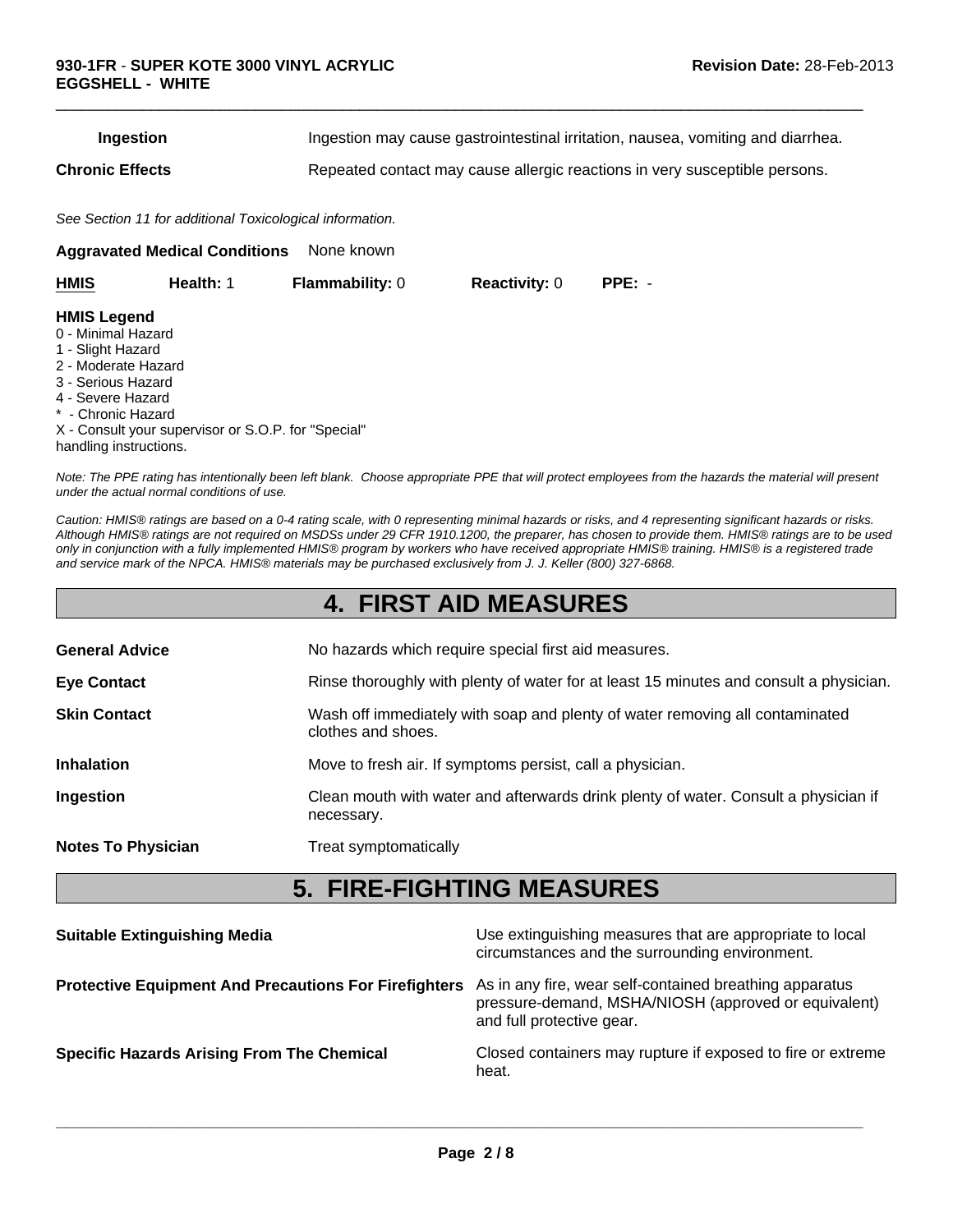| Ingestion | Ingestion may cause gastrointestinal irritation, nausea, vomiting and diarrhea. |
|-----------|---------------------------------------------------------------------------------|
|           |                                                                                 |

 $\Box$ 

**Chronic Effects** Repeated contact may cause allergic reactions in very susceptible persons.

*See Section 11 for additional Toxicological information.*

**Aggravated Medical Conditions** None known

| <b>HMIS</b>                                                                                                                                                                                                                            | Health: 1 | <b>Flammability: 0</b> | <b>Reactivity: 0</b> | $PPE: -$ |
|----------------------------------------------------------------------------------------------------------------------------------------------------------------------------------------------------------------------------------------|-----------|------------------------|----------------------|----------|
| <b>HMIS Legend</b><br>0 - Minimal Hazard<br>1 - Slight Hazard<br>2 - Moderate Hazard<br>3 - Serious Hazard<br>4 - Severe Hazard<br>* - Chronic Hazard<br>X - Consult your supervisor or S.O.P. for "Special"<br>handling instructions. |           |                        |                      |          |

*Note: The PPE rating has intentionally been left blank. Choose appropriate PPE that will protect employees from the hazards the material will present under the actual normal conditions of use.*

*Caution: HMIS® ratings are based on a 0-4 rating scale, with 0 representing minimal hazards or risks, and 4 representing significant hazards or risks. Although HMIS® ratings are not required on MSDSs under 29 CFR 1910.1200, the preparer, has chosen to provide them. HMIS® ratings are to be used only in conjunction with a fully implemented HMIS® program by workers who have received appropriate HMIS® training. HMIS® is a registered trade and service mark of the NPCA. HMIS® materials may be purchased exclusively from J. J. Keller (800) 327-6868.*

### **4. FIRST AID MEASURES**

| <b>General Advice</b>     | No hazards which require special first aid measures.                                               |
|---------------------------|----------------------------------------------------------------------------------------------------|
| <b>Eye Contact</b>        | Rinse thoroughly with plenty of water for at least 15 minutes and consult a physician.             |
| <b>Skin Contact</b>       | Wash off immediately with soap and plenty of water removing all contaminated<br>clothes and shoes. |
| <b>Inhalation</b>         | Move to fresh air. If symptoms persist, call a physician.                                          |
| Ingestion                 | Clean mouth with water and afterwards drink plenty of water. Consult a physician if<br>necessary.  |
| <b>Notes To Physician</b> | Treat symptomatically                                                                              |
|                           |                                                                                                    |

### **5. FIRE-FIGHTING MEASURES**

| <b>Suitable Extinguishing Media</b>                          | Use extinguishing measures that are appropriate to local<br>circumstances and the surrounding environment.                                   |
|--------------------------------------------------------------|----------------------------------------------------------------------------------------------------------------------------------------------|
| <b>Protective Equipment And Precautions For Firefighters</b> | As in any fire, wear self-contained breathing apparatus<br>pressure-demand, MSHA/NIOSH (approved or equivalent)<br>and full protective gear. |
| <b>Specific Hazards Arising From The Chemical</b>            | Closed containers may rupture if exposed to fire or extreme<br>heat.                                                                         |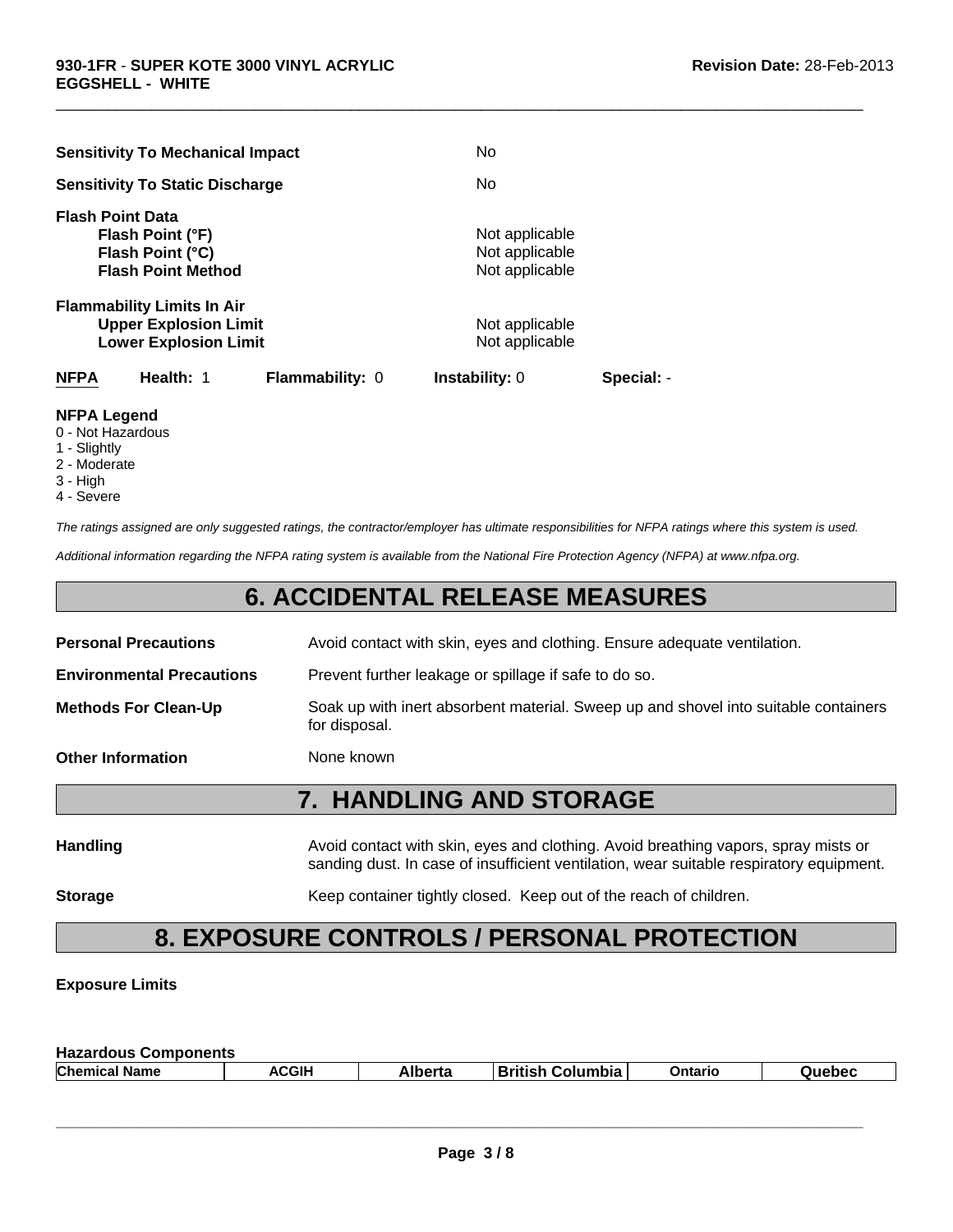| <b>Sensitivity To Mechanical Impact</b>                                                           | No                                                 |            |
|---------------------------------------------------------------------------------------------------|----------------------------------------------------|------------|
| <b>Sensitivity To Static Discharge</b>                                                            | No                                                 |            |
| <b>Flash Point Data</b><br>Flash Point (°F)<br>Flash Point (°C)<br><b>Flash Point Method</b>      | Not applicable<br>Not applicable<br>Not applicable |            |
| <b>Flammability Limits In Air</b><br><b>Upper Explosion Limit</b><br><b>Lower Explosion Limit</b> | Not applicable<br>Not applicable                   |            |
| Health: 1<br><b>NFPA</b>                                                                          | <b>Flammability: 0</b><br><b>Instability: 0</b>    | Special: - |

#### **NFPA Legend**

- 0 Not Hazardous
- 1 Slightly
- 2 Moderate
- 3 High
- 4 Severe

*The ratings assigned are only suggested ratings, the contractor/employer has ultimate responsibilities for NFPA ratings where this system is used.*

 $\Box$ 

*Additional information regarding the NFPA rating system is available from the National Fire Protection Agency (NFPA) at www.nfpa.org.*

### **6. ACCIDENTAL RELEASE MEASURES**

|                                  | <b>7. HANDLING AND STORAGE</b>                                                                       |
|----------------------------------|------------------------------------------------------------------------------------------------------|
| <b>Other Information</b>         | None known                                                                                           |
| <b>Methods For Clean-Up</b>      | Soak up with inert absorbent material. Sweep up and shovel into suitable containers<br>for disposal. |
| <b>Environmental Precautions</b> | Prevent further leakage or spillage if safe to do so.                                                |
| <b>Personal Precautions</b>      | Avoid contact with skin, eyes and clothing. Ensure adequate ventilation.                             |
|                                  |                                                                                                      |

| <b>Handling</b> | Avoid contact with skin, eyes and clothing. Avoid breathing vapors, spray mists or<br>sanding dust. In case of insufficient ventilation, wear suitable respiratory equipment. |
|-----------------|-------------------------------------------------------------------------------------------------------------------------------------------------------------------------------|
| <b>Storage</b>  | Keep container tightly closed. Keep out of the reach of children.                                                                                                             |

## **8. EXPOSURE CONTROLS / PERSONAL PROTECTION**

#### **Exposure Limits**

| <b>Hazardous Components</b> |       |         |                         |         |        |
|-----------------------------|-------|---------|-------------------------|---------|--------|
| <b>Chemical Name</b>        | ACGIH | Alberta | <b>British Columbia</b> | Ontario | Quebec |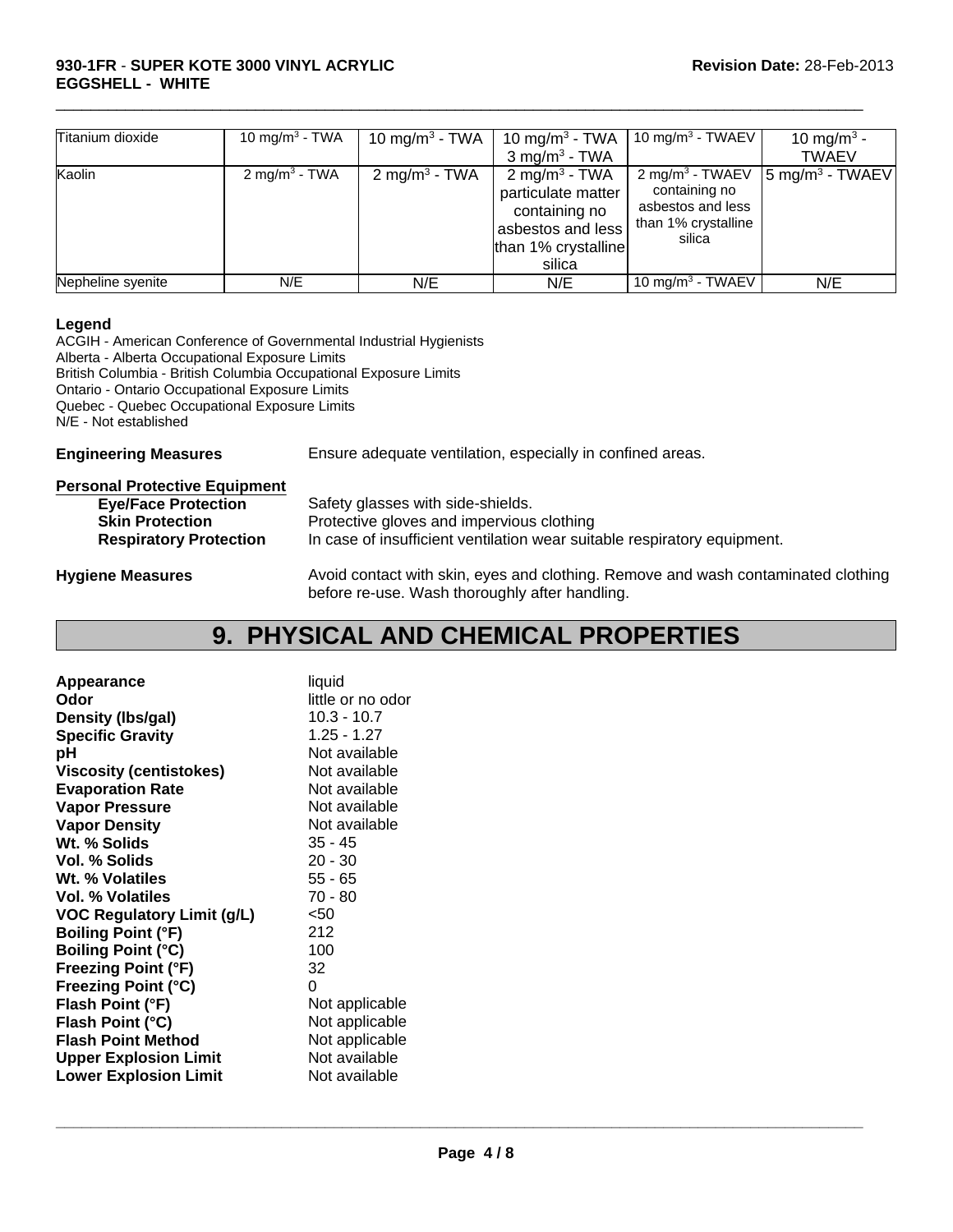#### **930-1FR** - **SUPER KOTE 3000 VINYL ACRYLIC Revision Date:** 28-Feb-2013 **EGGSHELL - WHITE**

| Titanium dioxide  | 10 mg/m <sup>3</sup> - TWA | 10 mg/m <sup>3</sup> - TWA | 10 mg/m <sup>3</sup> - TWA<br>$3$ mg/m <sup>3</sup> - TWA                                                              | 10 mg/m <sup>3</sup> - TWAEV                                                                       | 10 mg/m <sup>3</sup> -<br><b>TWAEV</b> |
|-------------------|----------------------------|----------------------------|------------------------------------------------------------------------------------------------------------------------|----------------------------------------------------------------------------------------------------|----------------------------------------|
| Kaolin            | 2 mg/m <sup>3</sup> - TWA  | 2 mg/m <sup>3</sup> - TWA  | 2 mg/m <sup>3</sup> - TWA<br>particulate matter<br>containing no<br>asbestos and less<br>than 1% crystalline<br>silica | 2 mg/m <sup>3</sup> - TWAEV<br>containing no<br>asbestos and less<br>than 1% crystalline<br>silica | $\sqrt{5}$ mg/m <sup>3</sup> - TWAEV   |
| Nepheline syenite | N/E                        | N/E                        | N/E                                                                                                                    | 10 mg/m <sup>3</sup> - TWAEV                                                                       | N/E                                    |

 $\Box$ 

#### **Legend**

ACGIH - American Conference of Governmental Industrial Hygienists Alberta - Alberta Occupational Exposure Limits British Columbia - British Columbia Occupational Exposure Limits Ontario - Ontario Occupational Exposure Limits Quebec - Quebec Occupational Exposure Limits N/E - Not established

**Engineering Measures** Ensure adequate ventilation, especially in confined areas.

| <b>Personal Protective Equipment</b> |                                                                                                                                     |
|--------------------------------------|-------------------------------------------------------------------------------------------------------------------------------------|
| <b>Eye/Face Protection</b>           | Safety glasses with side-shields.                                                                                                   |
| <b>Skin Protection</b>               | Protective gloves and impervious clothing                                                                                           |
| <b>Respiratory Protection</b>        | In case of insufficient ventilation wear suitable respiratory equipment.                                                            |
| <b>Hygiene Measures</b>              | Avoid contact with skin, eyes and clothing. Remove and wash contaminated clothing<br>before re-use. Wash thoroughly after handling. |

### **9. PHYSICAL AND CHEMICAL PROPERTIES**

| Appearance                        | liquid            |
|-----------------------------------|-------------------|
| Odor                              | little or no odor |
| Density (Ibs/gal)                 | $10.3 - 10.7$     |
| <b>Specific Gravity</b>           | $1.25 - 1.27$     |
| рH                                | Not available     |
| <b>Viscosity (centistokes)</b>    | Not available     |
| <b>Evaporation Rate</b>           | Not available     |
| <b>Vapor Pressure</b>             | Not available     |
| <b>Vapor Density</b>              | Not available     |
| Wt. % Solids                      | $35 - 45$         |
| Vol. % Solids                     | $20 - 30$         |
| Wt. % Volatiles                   | 55 - 65           |
| Vol. % Volatiles                  | 70 - 80           |
| <b>VOC Regulatory Limit (g/L)</b> | $50$              |
| <b>Boiling Point (°F)</b>         | 212               |
| <b>Boiling Point (°C)</b>         | 100               |
| <b>Freezing Point (°F)</b>        | 32                |
| <b>Freezing Point (°C)</b>        | 0                 |
| Flash Point (°F)                  | Not applicable    |
| Flash Point (°C)                  | Not applicable    |
| <b>Flash Point Method</b>         | Not applicable    |
| <b>Upper Explosion Limit</b>      | Not available     |
| <b>Lower Explosion Limit</b>      | Not available     |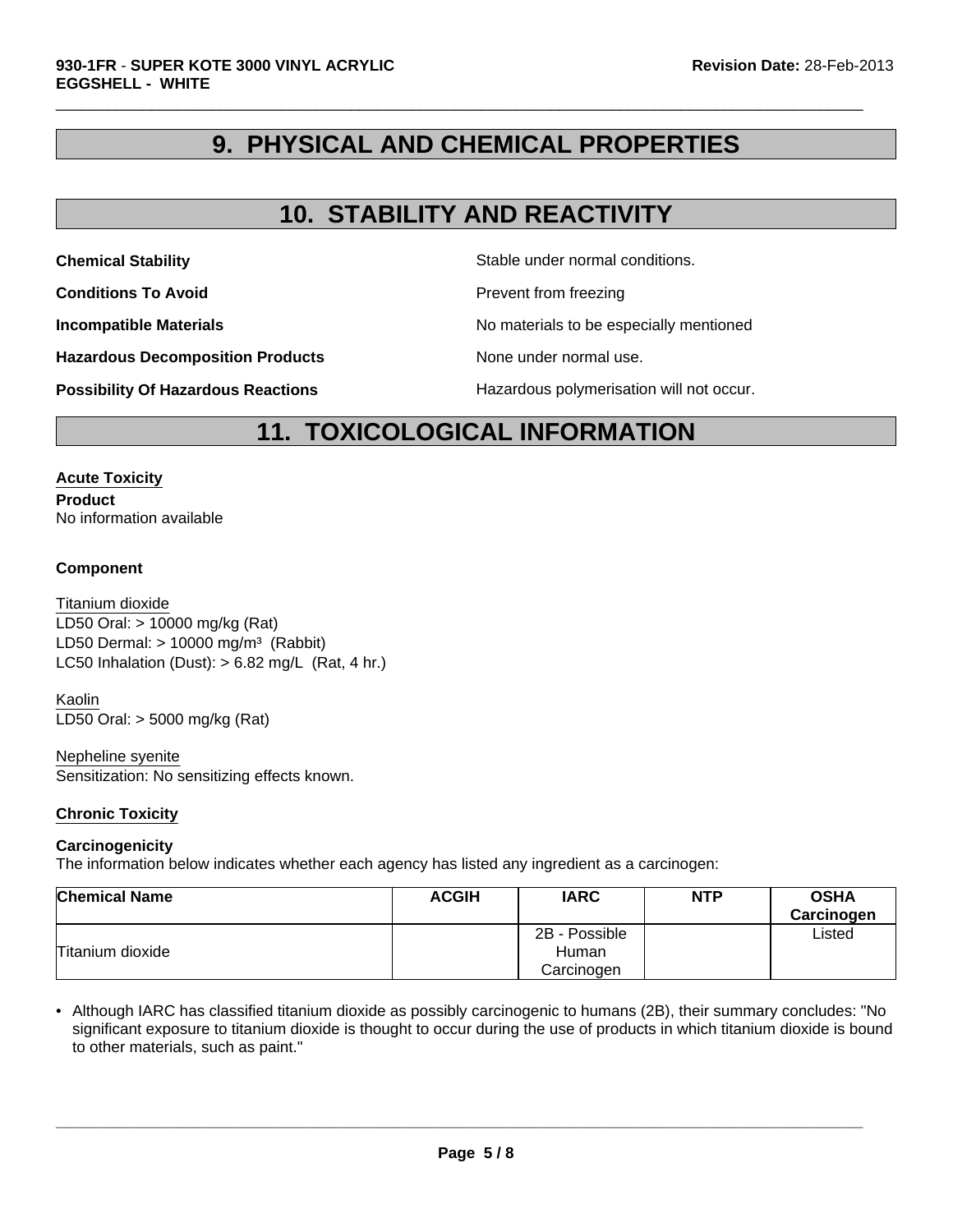### **9. PHYSICAL AND CHEMICAL PROPERTIES**

 $\Box$ 

### **10. STABILITY AND REACTIVITY**

**Chemical Stability** Stable under normal conditions.

**Conditions To Avoid Prevent from freezing** 

**Incompatible Materials Incompatible Materials No materials to be especially mentioned** 

**Hazardous Decomposition Products** None under normal use.

**Possibility Of Hazardous Reactions The Constant Hazardous polymerisation will not occur.** 

**11. TOXICOLOGICAL INFORMATION**

#### **Acute Toxicity**

**Product** No information available

#### **Component**

LD50 Dermal:  $> 10000$  mg/m<sup>3</sup> (Rabbit) Titanium dioxide LC50 Inhalation (Dust):  $> 6.82$  mg/L (Rat, 4 hr.) LD50 Oral: > 10000 mg/kg (Rat)

Kaolin LD50 Oral: > 5000 mg/kg (Rat)

#### Nepheline syenite

Sensitization: No sensitizing effects known.

#### **Chronic Toxicity**

#### **Carcinogenicity**

The information below indicates whether each agency has listed any ingredient as a carcinogen:

| <b>Chemical Name</b> | <b>ACGIH</b> | <b>IARC</b>   | <b>NTP</b> | <b>OSHA</b><br>Carcinogen |
|----------------------|--------------|---------------|------------|---------------------------|
|                      |              | 2B - Possible |            | ∟isted                    |
| Titanium dioxide     |              | Human         |            |                           |
|                      |              | Carcinogen    |            |                           |

• Although IARC has classified titanium dioxide as possibly carcinogenic to humans (2B), their summary concludes: "No significant exposure to titanium dioxide is thought to occur during the use of products in which titanium dioxide is bound to other materials, such as paint."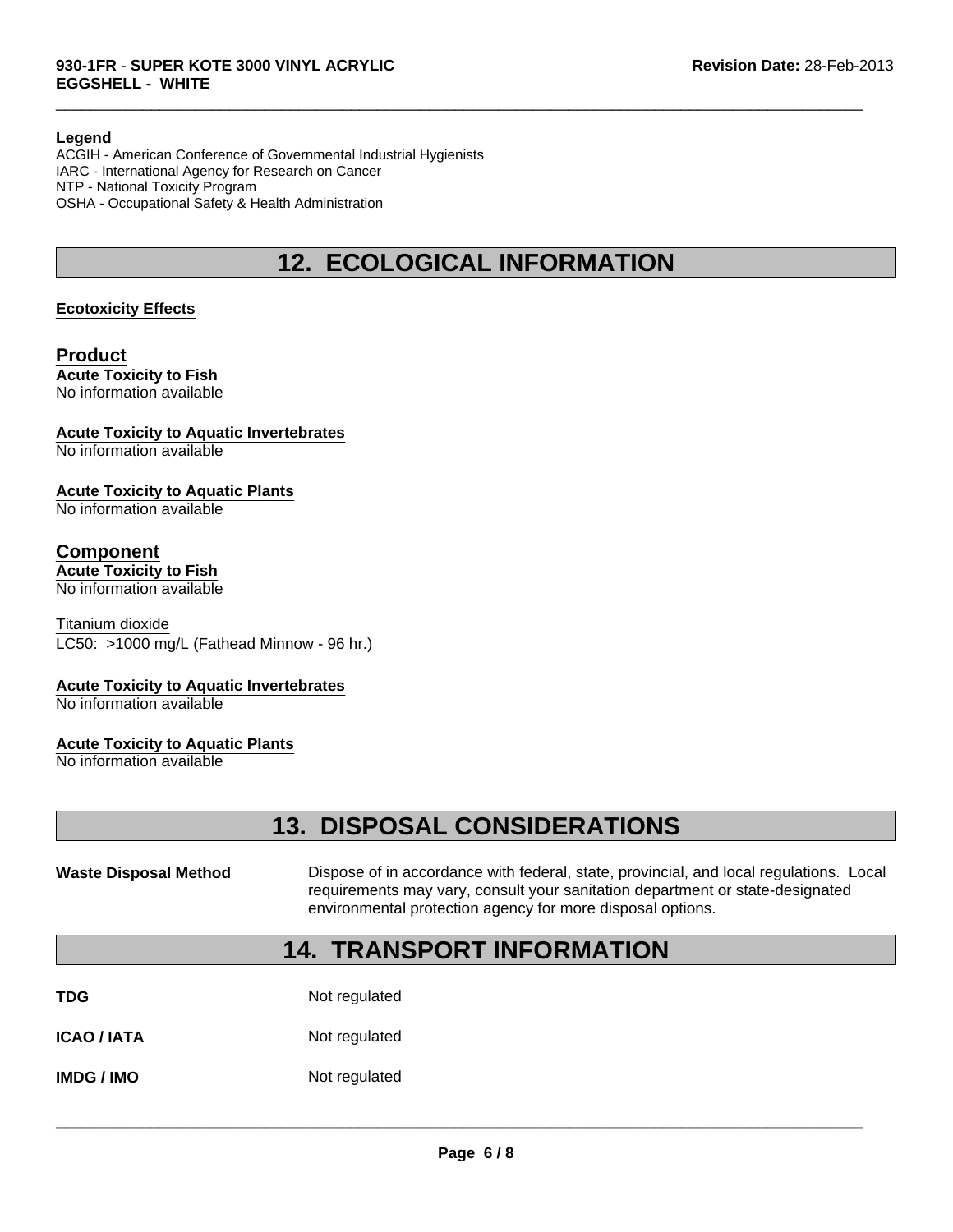#### **Legend**

ACGIH - American Conference of Governmental Industrial Hygienists IARC - International Agency for Research on Cancer NTP - National Toxicity Program OSHA - Occupational Safety & Health Administration

### **12. ECOLOGICAL INFORMATION**

 $\Box$ 

#### **Ecotoxicity Effects**

#### **Product Acute Toxicity to Fish** No information available

### **Acute Toxicity to Aquatic Invertebrates**

No information available

#### **Acute Toxicity to Aquatic Plants**

No information available

### **Component**

### **Acute Toxicity to Fish**

No information available

Titanium dioxide LC50: >1000 mg/L (Fathead Minnow - 96 hr.)

#### **Acute Toxicity to Aquatic Invertebrates**

No information available

#### **Acute Toxicity to Aquatic Plants**

No information available

## **13. DISPOSAL CONSIDERATIONS**

Waste Disposal Method **Dispose of in accordance with federal, state, provincial, and local regulations. Local** requirements may vary, consult your sanitation department or state-designated environmental protection agency for more disposal options.

### **14. TRANSPORT INFORMATION**

| TDG | Not regulated |
|-----|---------------|
|     |               |

**ICAO / IATA** Not regulated

**IMDG / IMO** Not regulated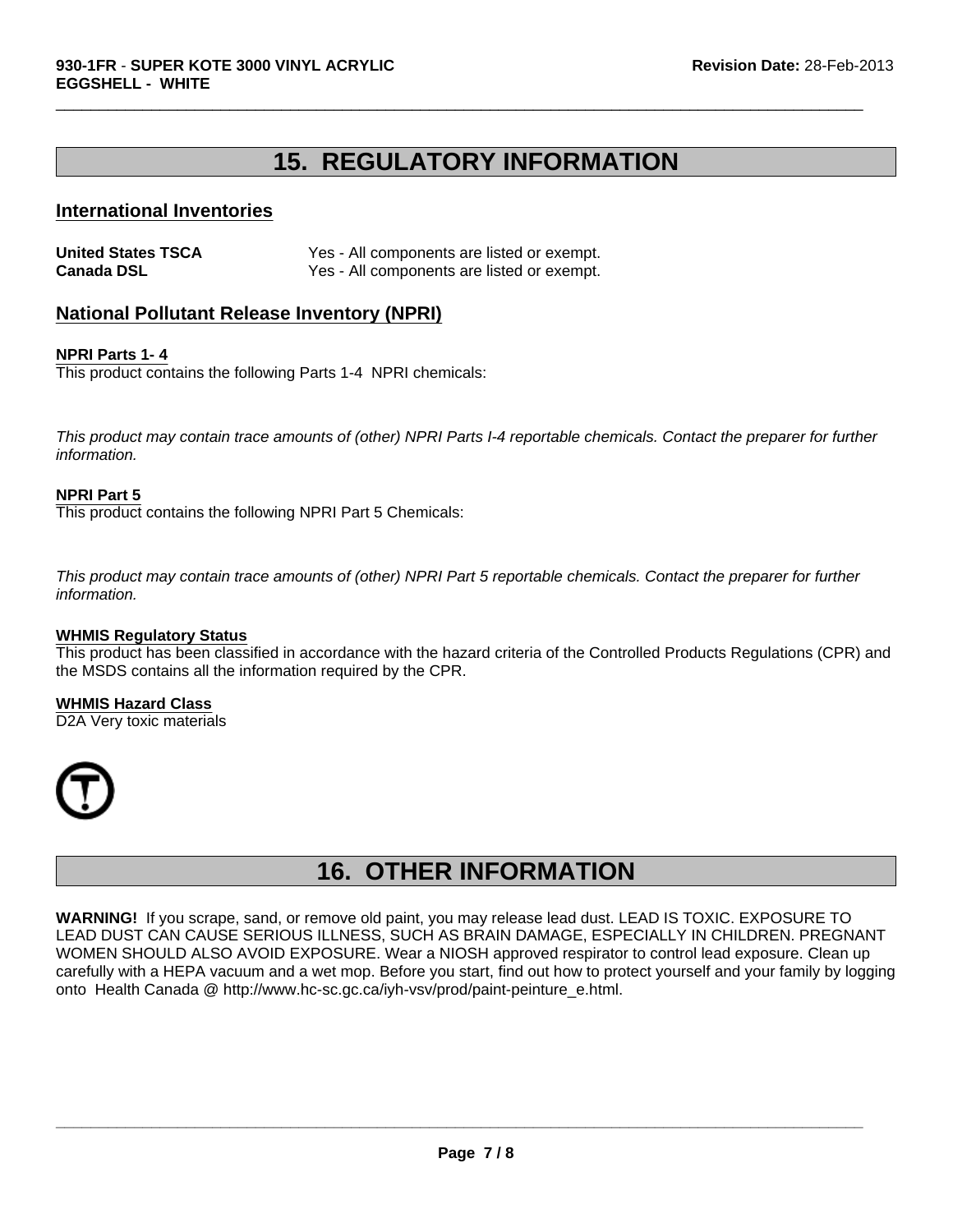### **15. REGULATORY INFORMATION**

 $\Box$ 

#### **International Inventories**

| <b>United States TSCA</b> | Yes - All components are listed or exempt. |
|---------------------------|--------------------------------------------|
| <b>Canada DSL</b>         | Yes - All components are listed or exempt. |

### **National Pollutant Release Inventory (NPRI)**

#### **NPRI Parts 1- 4**

This product contains the following Parts 1-4 NPRI chemicals:

*This product may contain trace amounts of (other) NPRI Parts I-4 reportable chemicals. Contact the preparer for further information.*

#### **NPRI Part 5**

This product contains the following NPRI Part 5 Chemicals:

*This product may contain trace amounts of (other) NPRI Part 5 reportable chemicals. Contact the preparer for further information.*

#### **WHMIS Regulatory Status**

This product has been classified in accordance with the hazard criteria of the Controlled Products Regulations (CPR) and the MSDS contains all the information required by the CPR.

**WHMIS Hazard Class** D2A Very toxic materials



### **16. OTHER INFORMATION**

**WARNING!** If you scrape, sand, or remove old paint, you may release lead dust. LEAD IS TOXIC. EXPOSURE TO LEAD DUST CAN CAUSE SERIOUS ILLNESS, SUCH AS BRAIN DAMAGE, ESPECIALLY IN CHILDREN. PREGNANT WOMEN SHOULD ALSO AVOID EXPOSURE. Wear a NIOSH approved respirator to control lead exposure. Clean up carefully with a HEPA vacuum and a wet mop. Before you start, find out how to protect yourself and your family by logging onto Health Canada @ http://www.hc-sc.gc.ca/iyh-vsv/prod/paint-peinture\_e.html.